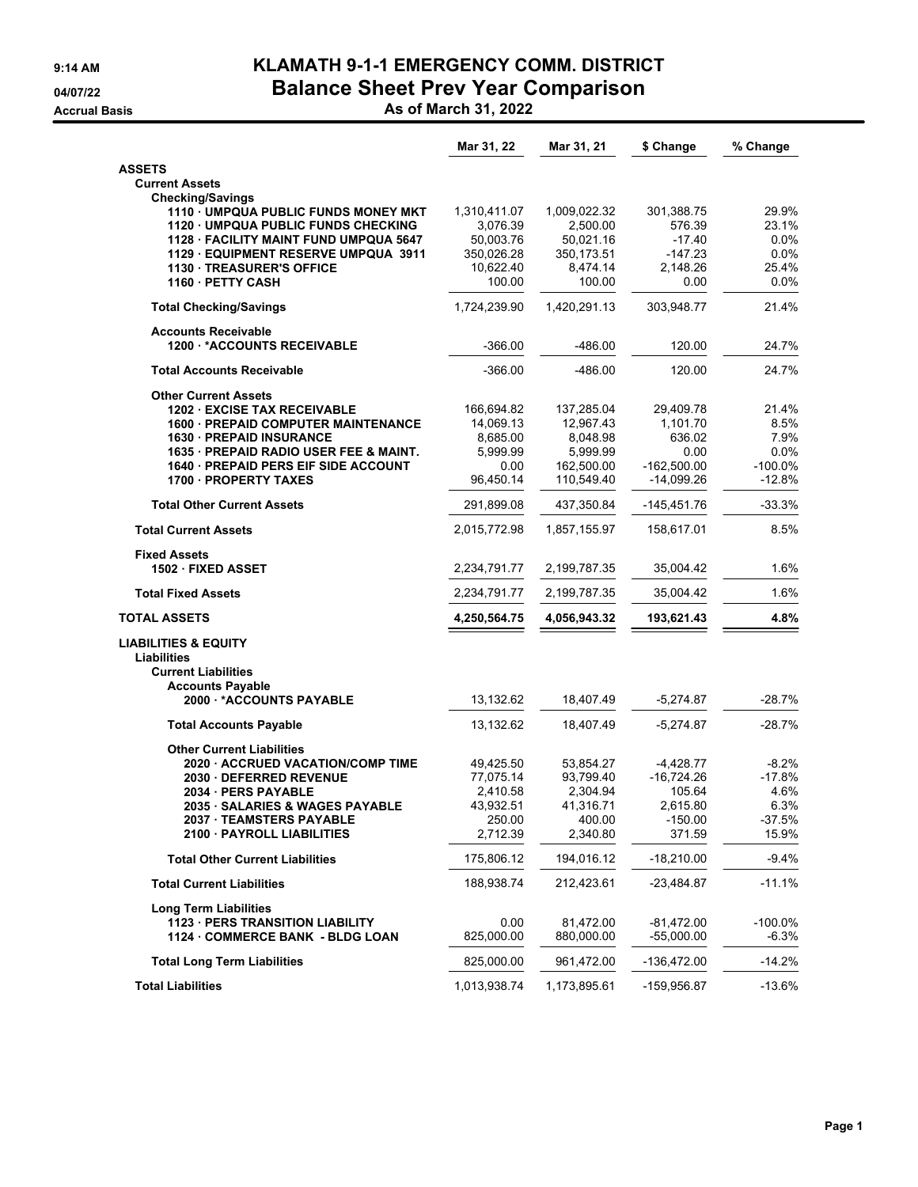## **9:14 AM KLAMATH 9-1-1 EMERGENCY COMM. DISTRICT 04/07/22 Balance Sheet Prev Year Comparison**

**Accrual Basis As of March 31, 2022**

|                                            | Mar 31, 22   | Mar 31, 21   | \$ Change     | % Change   |
|--------------------------------------------|--------------|--------------|---------------|------------|
| <b>ASSETS</b>                              |              |              |               |            |
| <b>Current Assets</b>                      |              |              |               |            |
| <b>Checking/Savings</b>                    |              |              |               |            |
| 1110 · UMPQUA PUBLIC FUNDS MONEY MKT       | 1,310,411.07 | 1,009,022.32 | 301,388.75    | 29.9%      |
| 1120 · UMPQUA PUBLIC FUNDS CHECKING        | 3,076.39     | 2,500.00     | 576.39        | 23.1%      |
| 1128 · FACILITY MAINT FUND UMPQUA 5647     | 50,003.76    | 50,021.16    | $-17.40$      | 0.0%       |
| 1129 EQUIPMENT RESERVE UMPQUA 3911         | 350,026.28   | 350,173.51   | -147.23       | 0.0%       |
| <b>1130 TREASURER'S OFFICE</b>             | 10,622.40    | 8,474.14     | 2,148.26      | 25.4%      |
| 1160 PETTY CASH                            | 100.00       | 100.00       | 0.00          | 0.0%       |
| <b>Total Checking/Savings</b>              | 1,724,239.90 | 1,420,291.13 | 303,948.77    | 21.4%      |
| <b>Accounts Receivable</b>                 |              |              |               |            |
| <b>1200 *ACCOUNTS RECEIVABLE</b>           | $-366.00$    | $-486.00$    | 120.00        | 24.7%      |
| <b>Total Accounts Receivable</b>           | $-366.00$    | $-486.00$    | 120.00        | 24.7%      |
| <b>Other Current Assets</b>                |              |              |               |            |
| <b>1202 EXCISE TAX RECEIVABLE</b>          | 166,694.82   | 137,285.04   | 29,409.78     | 21.4%      |
| <b>1600 - PREPAID COMPUTER MAINTENANCE</b> | 14,069.13    | 12,967.43    | 1,101.70      | 8.5%       |
| <b>1630 PREPAID INSURANCE</b>              | 8,685.00     | 8,048.98     | 636.02        | 7.9%       |
| 1635 PREPAID RADIO USER FEE & MAINT.       | 5,999.99     | 5,999.99     | 0.00          | 0.0%       |
| 1640 - PREPAID PERS EIF SIDE ACCOUNT       | 0.00         | 162,500.00   | $-162.500.00$ | $-100.0%$  |
| 1700 PROPERTY TAXES                        | 96,450.14    | 110,549.40   | $-14,099.26$  | $-12.8%$   |
| <b>Total Other Current Assets</b>          | 291,899.08   | 437,350.84   | -145,451.76   | $-33.3%$   |
| <b>Total Current Assets</b>                | 2,015,772.98 | 1,857,155.97 | 158,617.01    | 8.5%       |
| <b>Fixed Assets</b>                        |              |              |               |            |
| 1502 FIXED ASSET                           | 2,234,791.77 | 2,199,787.35 | 35,004.42     | 1.6%       |
| <b>Total Fixed Assets</b>                  | 2,234,791.77 | 2,199,787.35 | 35,004.42     | 1.6%       |
| <b>TOTAL ASSETS</b>                        | 4,250,564.75 | 4,056,943.32 | 193,621.43    | 4.8%       |
| <b>LIABILITIES &amp; EQUITY</b>            |              |              |               |            |
| Liabilities                                |              |              |               |            |
| <b>Current Liabilities</b>                 |              |              |               |            |
| <b>Accounts Payable</b>                    |              |              |               |            |
| 2000 *ACCOUNTS PAYABLE                     | 13,132.62    | 18,407.49    | $-5,274.87$   | $-28.7%$   |
| <b>Total Accounts Payable</b>              | 13,132.62    | 18,407.49    | $-5,274.87$   | -28.7%     |
| <b>Other Current Liabilities</b>           |              |              |               |            |
| 2020 ACCRUED VACATION/COMP TIME            | 49,425.50    | 53,854.27    | $-4,428.77$   | $-8.2%$    |
| 2030 DEFERRED REVENUE                      | 77,075.14    | 93,799.40    | $-16,724.26$  | $-17.8%$   |
| 2034 - PERS PAYABLE                        | 2,410.58     | 2,304.94     | 105.64        | 4.6%       |
| 2035 · SALARIES & WAGES PAYABLE            | 43,932.51    | 41,316.71    | 2,615.80      | 6.3%       |
| 2037 · TEAMSTERS PAYABLE                   | 250.00       | 400.00       | $-150.00$     | $-37.5%$   |
| 2100 PAYROLL LIABILITIES                   | 2,712.39     | 2,340.80     | 371.59        | 15.9%      |
| <b>Total Other Current Liabilities</b>     | 175,806.12   | 194,016.12   | $-18,210.00$  | $-9.4%$    |
| <b>Total Current Liabilities</b>           | 188,938.74   | 212,423.61   | $-23,484.87$  | $-11.1%$   |
| <b>Long Term Liabilities</b>               |              |              |               |            |
| 1123 - PERS TRANSITION LIABILITY           | 0.00         | 81,472.00    | $-81,472.00$  | $-100.0\%$ |
| 1124 COMMERCE BANK - BLDG LOAN             | 825,000.00   | 880,000.00   | $-55,000.00$  | $-6.3%$    |
| <b>Total Long Term Liabilities</b>         | 825,000.00   | 961,472.00   | -136,472.00   | $-14.2%$   |
| <b>Total Liabilities</b>                   | 1,013,938.74 | 1,173,895.61 | -159,956.87   | $-13.6%$   |